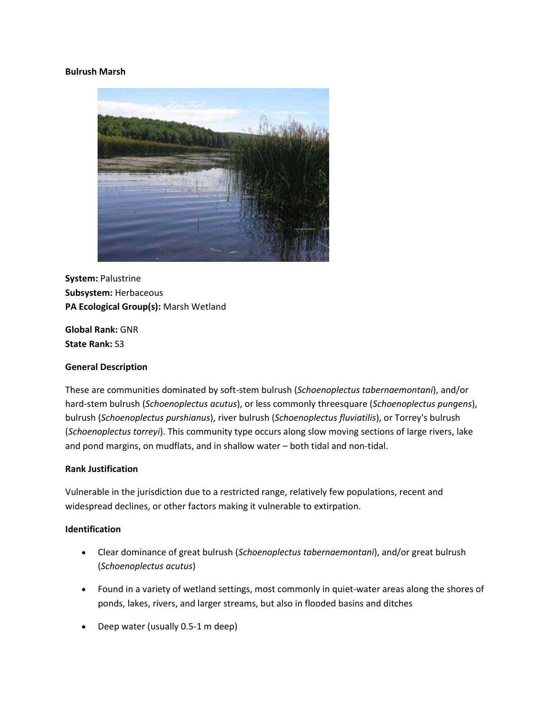#### **Bulrush Marsh**



**System:** Palustrine **Subsystem:** Herbaceous **PA Ecological Group(s):** Marsh Wetland

**Global Rank:** GNR **State Rank:** S3

## **General Description**

These are communities dominated by soft-stem bulrush (*Schoenoplectus tabernaemontani*), and/or hard-stem bulrush (*Schoenoplectus acutus*), or less commonly threesquare (*Schoenoplectus pungens*), bulrush (*Schoenoplectus purshianus*), river bulrush (*Schoenoplectus fluviatilis*), or Torrey's bulrush (*Schoenoplectus torreyi*). This community type occurs along slow moving sections of large rivers, lake and pond margins, on mudflats, and in shallow water – both tidal and non-tidal.

#### **Rank Justification**

Vulnerable in the jurisdiction due to a restricted range, relatively few populations, recent and widespread declines, or other factors making it vulnerable to extirpation.

#### **Identification**

- Clear dominance of great bulrush (*Schoenoplectus tabernaemontani*), and/or great bulrush (*Schoenoplectus acutus*)
- Found in a variety of wetland settings, most commonly in quiet-water areas along the shores of ponds, lakes, rivers, and larger streams, but also in flooded basins and ditches
- Deep water (usually 0.5-1 m deep)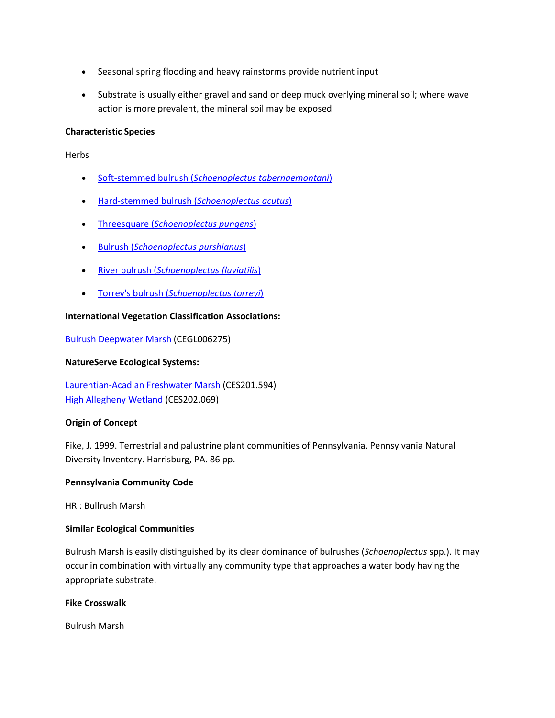- Seasonal spring flooding and heavy rainstorms provide nutrient input
- Substrate is usually either gravel and sand or deep muck overlying mineral soil; where wave action is more prevalent, the mineral soil may be exposed

# **Characteristic Species**

Herbs

- Soft-stemmed bulrush (*[Schoenoplectus tabernaemontani](http://www.natureserve.org/explorer/servlet/NatureServe?searchName=Schoenoplectus+tabernaemontani)*)
- [Hard-stemmed bulrush \(](http://www.natureserve.org/explorer/servlet/NatureServe?searchName=Schoenoplectus+acutus)*Schoenoplectus acutus*)
- Threesquare (*[Schoenoplectus pungens](http://www.natureserve.org/explorer/servlet/NatureServe?searchName=Schoenoplectus+pungens)*)
- Bulrush (*[Schoenoplectus purshianus](http://www.natureserve.org/explorer/servlet/NatureServe?searchName=Schoenoplectus+purshianus)*)
- River bulrush (*[Schoenoplectus fluviatilis](http://www.natureserve.org/explorer/servlet/NatureServe?searchName=Schoenoplectus+fluviatilis)*)
- Torrey's bulrush (*[Schoenoplectus torreyi](http://www.natureserve.org/explorer/servlet/NatureServe?searchName=Schoenoplectus+torreyi)*)

# **International Vegetation Classification Associations:**

[Bulrush Deepwater Marsh](http://www.natureserve.org/explorer/servlet/NatureServe?searchCommunityUid=ELEMENT_GLOBAL.2.683450) (CEGL006275)

## **NatureServe Ecological Systems:**

[Laurentian-Acadian Freshwater Marsh \(](http://www.natureserve.org/explorer/servlet/NatureServe?searchSystemUid=ELEMENT_GLOBAL.2.731557)CES201.594) [High Allegheny Wetland \(](http://www.natureserve.org/explorer/servlet/NatureServe?searchSystemUid=ELEMENT_GLOBAL.2.800809)CES202.069)

## **Origin of Concept**

Fike, J. 1999. Terrestrial and palustrine plant communities of Pennsylvania. Pennsylvania Natural Diversity Inventory. Harrisburg, PA. 86 pp.

## **Pennsylvania Community Code**

HR : Bullrush Marsh

## **Similar Ecological Communities**

Bulrush Marsh is easily distinguished by its clear dominance of bulrushes (*Schoenoplectus* spp.). It may occur in combination with virtually any community type that approaches a water body having the appropriate substrate.

## **Fike Crosswalk**

Bulrush Marsh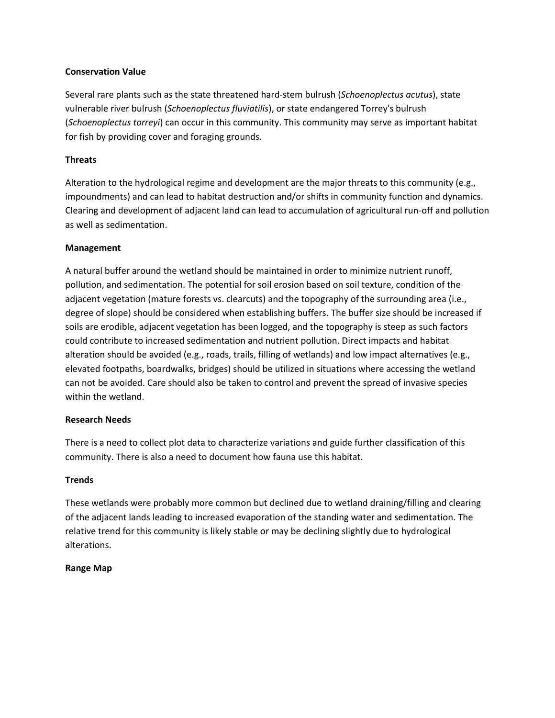## **Conservation Value**

Several rare plants such as the state threatened hard-stem bulrush (*Schoenoplectus acutus*), state vulnerable river bulrush (*Schoenoplectus fluviatilis*), or state endangered Torrey's bulrush (*Schoenoplectus torreyi*) can occur in this community. This community may serve as important habitat for fish by providing cover and foraging grounds.

## **Threats**

Alteration to the hydrological regime and development are the major threats to this community (e.g., impoundments) and can lead to habitat destruction and/or shifts in community function and dynamics. Clearing and development of adjacent land can lead to accumulation of agricultural run-off and pollution as well as sedimentation.

## **Management**

A natural buffer around the wetland should be maintained in order to minimize nutrient runoff, pollution, and sedimentation. The potential for soil erosion based on soil texture, condition of the adjacent vegetation (mature forests vs. clearcuts) and the topography of the surrounding area (i.e., degree of slope) should be considered when establishing buffers. The buffer size should be increased if soils are erodible, adjacent vegetation has been logged, and the topography is steep as such factors could contribute to increased sedimentation and nutrient pollution. Direct impacts and habitat alteration should be avoided (e.g., roads, trails, filling of wetlands) and low impact alternatives (e.g., elevated footpaths, boardwalks, bridges) should be utilized in situations where accessing the wetland can not be avoided. Care should also be taken to control and prevent the spread of invasive species within the wetland.

## **Research Needs**

There is a need to collect plot data to characterize variations and guide further classification of this community. There is also a need to document how fauna use this habitat.

## **Trends**

These wetlands were probably more common but declined due to wetland draining/filling and clearing of the adjacent lands leading to increased evaporation of the standing water and sedimentation. The relative trend for this community is likely stable or may be declining slightly due to hydrological alterations.

## **Range Map**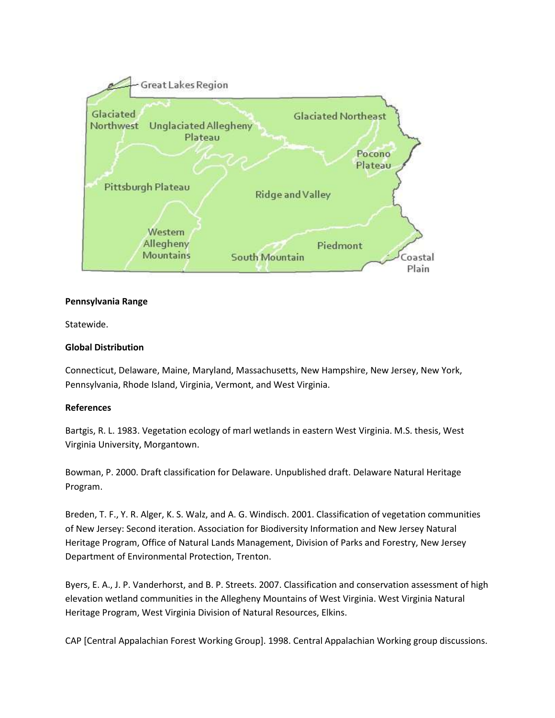

#### **Pennsylvania Range**

Statewide.

## **Global Distribution**

Connecticut, Delaware, Maine, Maryland, Massachusetts, New Hampshire, New Jersey, New York, Pennsylvania, Rhode Island, Virginia, Vermont, and West Virginia.

#### **References**

Bartgis, R. L. 1983. Vegetation ecology of marl wetlands in eastern West Virginia. M.S. thesis, West Virginia University, Morgantown.

Bowman, P. 2000. Draft classification for Delaware. Unpublished draft. Delaware Natural Heritage Program.

Breden, T. F., Y. R. Alger, K. S. Walz, and A. G. Windisch. 2001. Classification of vegetation communities of New Jersey: Second iteration. Association for Biodiversity Information and New Jersey Natural Heritage Program, Office of Natural Lands Management, Division of Parks and Forestry, New Jersey Department of Environmental Protection, Trenton.

Byers, E. A., J. P. Vanderhorst, and B. P. Streets. 2007. Classification and conservation assessment of high elevation wetland communities in the Allegheny Mountains of West Virginia. West Virginia Natural Heritage Program, West Virginia Division of Natural Resources, Elkins.

CAP [Central Appalachian Forest Working Group]. 1998. Central Appalachian Working group discussions.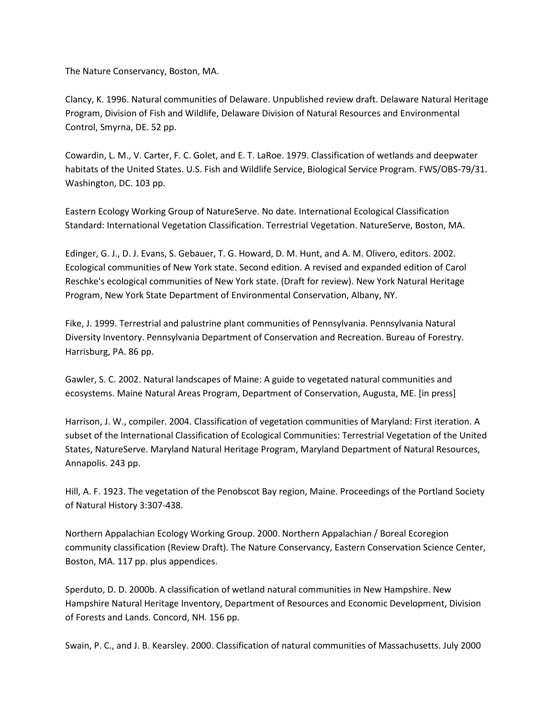The Nature Conservancy, Boston, MA.

Clancy, K. 1996. Natural communities of Delaware. Unpublished review draft. Delaware Natural Heritage Program, Division of Fish and Wildlife, Delaware Division of Natural Resources and Environmental Control, Smyrna, DE. 52 pp.

Cowardin, L. M., V. Carter, F. C. Golet, and E. T. LaRoe. 1979. Classification of wetlands and deepwater habitats of the United States. U.S. Fish and Wildlife Service, Biological Service Program. FWS/OBS-79/31. Washington, DC. 103 pp.

Eastern Ecology Working Group of NatureServe. No date. International Ecological Classification Standard: International Vegetation Classification. Terrestrial Vegetation. NatureServe, Boston, MA.

Edinger, G. J., D. J. Evans, S. Gebauer, T. G. Howard, D. M. Hunt, and A. M. Olivero, editors. 2002. Ecological communities of New York state. Second edition. A revised and expanded edition of Carol Reschke's ecological communities of New York state. (Draft for review). New York Natural Heritage Program, New York State Department of Environmental Conservation, Albany, NY.

Fike, J. 1999. Terrestrial and palustrine plant communities of Pennsylvania. Pennsylvania Natural Diversity Inventory. Pennsylvania Department of Conservation and Recreation. Bureau of Forestry. Harrisburg, PA. 86 pp.

Gawler, S. C. 2002. Natural landscapes of Maine: A guide to vegetated natural communities and ecosystems. Maine Natural Areas Program, Department of Conservation, Augusta, ME. [in press]

Harrison, J. W., compiler. 2004. Classification of vegetation communities of Maryland: First iteration. A subset of the International Classification of Ecological Communities: Terrestrial Vegetation of the United States, NatureServe. Maryland Natural Heritage Program, Maryland Department of Natural Resources, Annapolis. 243 pp.

Hill, A. F. 1923. The vegetation of the Penobscot Bay region, Maine. Proceedings of the Portland Society of Natural History 3:307-438.

Northern Appalachian Ecology Working Group. 2000. Northern Appalachian / Boreal Ecoregion community classification (Review Draft). The Nature Conservancy, Eastern Conservation Science Center, Boston, MA. 117 pp. plus appendices.

Sperduto, D. D. 2000b. A classification of wetland natural communities in New Hampshire. New Hampshire Natural Heritage Inventory, Department of Resources and Economic Development, Division of Forests and Lands. Concord, NH. 156 pp.

Swain, P. C., and J. B. Kearsley. 2000. Classification of natural communities of Massachusetts. July 2000